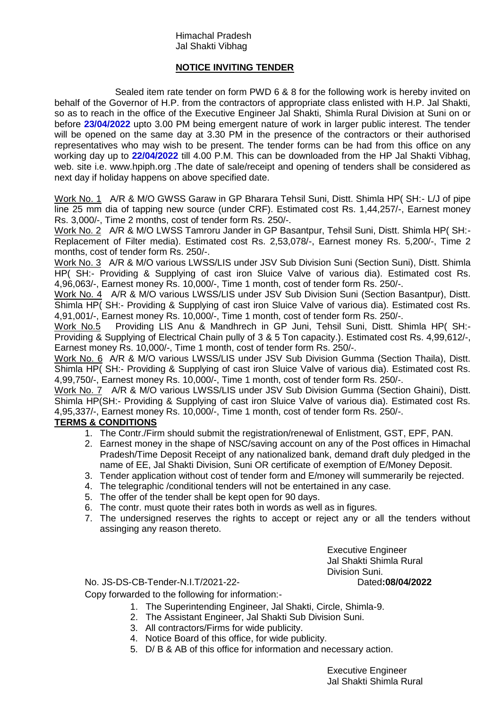## Himachal Pradesh Jal Shakti Vibhag

## **NOTICE INVITING TENDER**

Sealed item rate tender on form PWD 6 & 8 for the following work is hereby invited on behalf of the Governor of H.P. from the contractors of appropriate class enlisted with H.P. Jal Shakti, so as to reach in the office of the Executive Engineer Jal Shakti, Shimla Rural Division at Suni on or before **23/04/2022** upto 3.00 PM being emergent nature of work in larger public interest. The tender will be opened on the same day at 3.30 PM in the presence of the contractors or their authorised representatives who may wish to be present. The tender forms can be had from this office on any working day up to **22/04/2022** till 4.00 P.M. This can be downloaded from the HP Jal Shakti Vibhag, web. site i.e. www.hpiph.org .The date of sale/receipt and opening of tenders shall be considered as next day if holiday happens on above specified date.

Work No. 1 A/R & M/O GWSS Garaw in GP Bharara Tehsil Suni, Distt. Shimla HP( SH:- L/J of pipe line 25 mm dia of tapping new source (under CRF). Estimated cost Rs. 1,44,257/-, Earnest money Rs. 3,000/-, Time 2 months, cost of tender form Rs. 250/-.

Work No. 2 A/R & M/O LWSS Tamroru Jander in GP Basantpur, Tehsil Suni, Distt. Shimla HP( SH:-Replacement of Filter media). Estimated cost Rs. 2,53,078/-, Earnest money Rs. 5,200/-, Time 2 months, cost of tender form Rs. 250/-.

Work No. 3 A/R & M/O various LWSS/LIS under JSV Sub Division Suni (Section Suni), Distt. Shimla HP( SH:- Providing & Supplying of cast iron Sluice Valve of various dia). Estimated cost Rs. 4,96,063/-, Earnest money Rs. 10,000/-, Time 1 month, cost of tender form Rs. 250/-.

Work No. 4 A/R & M/O various LWSS/LIS under JSV Sub Division Suni (Section Basantpur), Distt. Shimla HP( SH:- Providing & Supplying of cast iron Sluice Valve of various dia). Estimated cost Rs. 4,91,001/-, Earnest money Rs. 10,000/-, Time 1 month, cost of tender form Rs. 250/-.

Work No.5 Providing LIS Anu & Mandhrech in GP Juni, Tehsil Suni, Distt. Shimla HP( SH:- Providing & Supplying of Electrical Chain pully of 3 & 5 Ton capacity.). Estimated cost Rs. 4,99,612/-, Earnest money Rs. 10,000/-, Time 1 month, cost of tender form Rs. 250/-.

Work No. 6 A/R & M/O various LWSS/LIS under JSV Sub Division Gumma (Section Thaila), Distt. Shimla HP( SH:- Providing & Supplying of cast iron Sluice Valve of various dia). Estimated cost Rs. 4,99,750/-, Earnest money Rs. 10,000/-, Time 1 month, cost of tender form Rs. 250/-.

Work No. 7 A/R & M/O various LWSS/LIS under JSV Sub Division Gumma (Section Ghaini), Distt. Shimla HP(SH:- Providing & Supplying of cast iron Sluice Valve of various dia). Estimated cost Rs. 4,95,337/-, Earnest money Rs. 10,000/-, Time 1 month, cost of tender form Rs. 250/-.

## **TERMS & CONDITIONS**

- 1. The Contr./Firm should submit the registration/renewal of Enlistment, GST, EPF, PAN.
- 2. Earnest money in the shape of NSC/saving account on any of the Post offices in Himachal Pradesh/Time Deposit Receipt of any nationalized bank, demand draft duly pledged in the name of EE, Jal Shakti Division, Suni OR certificate of exemption of E/Money Deposit.
- 3. Tender application without cost of tender form and E/money will summerarily be rejected.
- 4. The telegraphic /conditional tenders will not be entertained in any case.
- 5. The offer of the tender shall be kept open for 90 days.
- 6. The contr. must quote their rates both in words as well as in figures.
- 7. The undersigned reserves the rights to accept or reject any or all the tenders without assinging any reason thereto.

Executive Engineer Jal Shakti Shimla Rural Division Suni.

No. JS-DS-CB-Tender-N.I.T/2021-22- Dated**:08/04/2022**

Copy forwarded to the following for information:-

- 1. The Superintending Engineer, Jal Shakti, Circle, Shimla-9.
- 2. The Assistant Engineer, Jal Shakti Sub Division Suni.
- 3. All contractors/Firms for wide publicity.
- 4. Notice Board of this office, for wide publicity.
- 5. D/ B & AB of this office for information and necessary action.

Executive Engineer Jal Shakti Shimla Rural